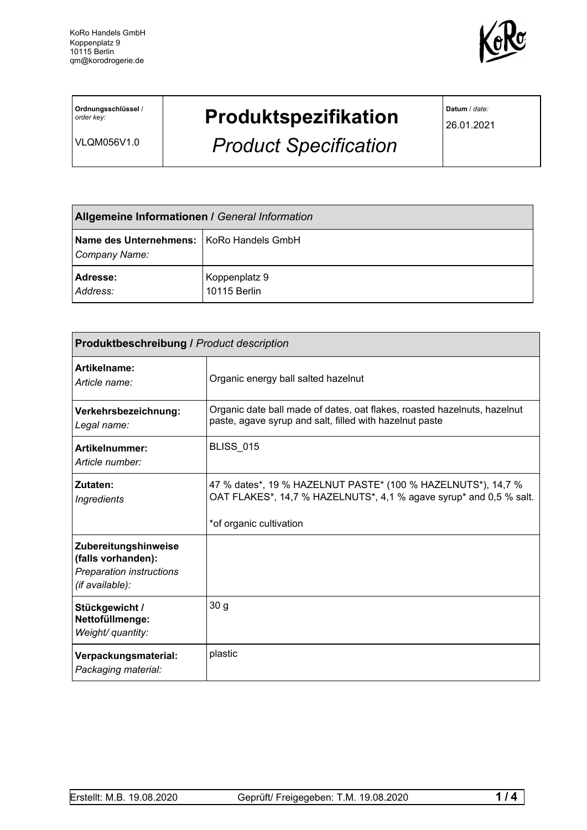

**Ordnungsschlüssel** / *order key:*

VLQM056V1.0

## **Produktspezifikation**

*Product Specification*

**Datum** / *date:*

26.01.2021

| Allgemeine Informationen / General Information            |                               |
|-----------------------------------------------------------|-------------------------------|
| Name des Unternehmens: KoRo Handels GmbH<br>Company Name: |                               |
| <b>Adresse:</b><br>Address:                               | Koppenplatz 9<br>10115 Berlin |

| <b>Produktbeschreibung / Product description</b>                                          |                                                                                                                                                               |  |
|-------------------------------------------------------------------------------------------|---------------------------------------------------------------------------------------------------------------------------------------------------------------|--|
| Artikelname:<br>Article name:                                                             | Organic energy ball salted hazelnut                                                                                                                           |  |
| Verkehrsbezeichnung:<br>Legal name:                                                       | Organic date ball made of dates, oat flakes, roasted hazelnuts, hazelnut<br>paste, agave syrup and salt, filled with hazelnut paste                           |  |
| Artikelnummer:<br>Article number:                                                         | <b>BLISS_015</b>                                                                                                                                              |  |
| Zutaten:<br><b>Ingredients</b>                                                            | 47 % dates*, 19 % HAZELNUT PASTE* (100 % HAZELNUTS*), 14,7 %<br>OAT FLAKES*, 14,7 % HAZELNUTS*, 4,1 % agave syrup* and 0,5 % salt.<br>*of organic cultivation |  |
| Zubereitungshinweise<br>(falls vorhanden):<br>Preparation instructions<br>(if available): |                                                                                                                                                               |  |
| Stückgewicht /<br>Nettofüllmenge:<br>Weight/ quantity:                                    | 30 <sub>g</sub>                                                                                                                                               |  |
| Verpackungsmaterial:<br>Packaging material:                                               | plastic                                                                                                                                                       |  |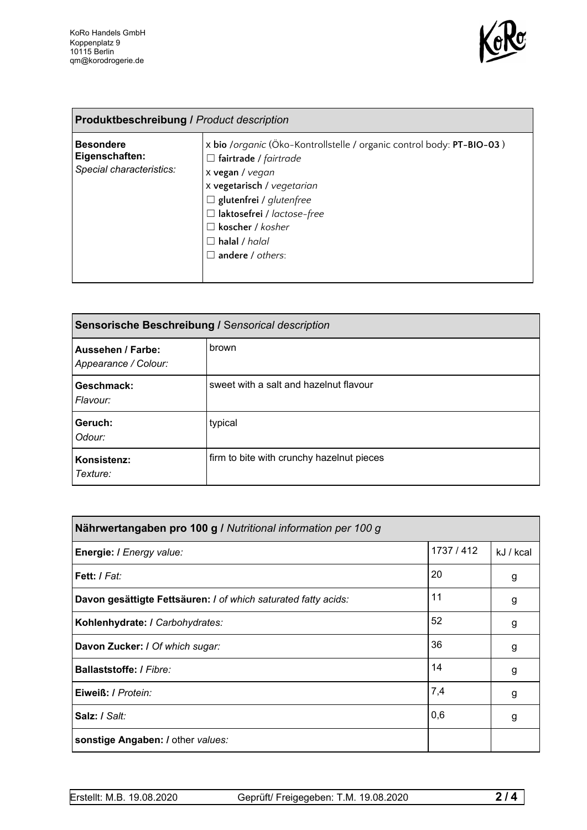

| <b>Produktbeschreibung / Product description</b>               |                                                                                                                                                                                                                                                                                                 |  |
|----------------------------------------------------------------|-------------------------------------------------------------------------------------------------------------------------------------------------------------------------------------------------------------------------------------------------------------------------------------------------|--|
| <b>Besondere</b><br>Eigenschaften:<br>Special characteristics: | x bio /organic (Öko-Kontrollstelle / organic control body: PT-BIO-03)<br>$\Box$ fairtrade / fairtrade<br>x vegan / vegan<br>x vegetarisch / vegetarian<br>$\Box$ glutenfrei / glutenfree<br>□ laktosefrei / lactose-free<br>koscher / kosher<br>$\Box$ halal / halal<br>$\Box$ andere / others: |  |

| Sensorische Beschreibung / Sensorical description |                                           |  |
|---------------------------------------------------|-------------------------------------------|--|
| Aussehen / Farbe:<br>Appearance / Colour:         | brown                                     |  |
| Geschmack:<br>Flavour:                            | sweet with a salt and hazelnut flavour    |  |
| Geruch:<br>Odour:                                 | typical                                   |  |
| Konsistenz:<br>Texture:                           | firm to bite with crunchy hazelnut pieces |  |

| Nährwertangaben pro 100 g / Nutritional information per 100 g  |            |           |  |
|----------------------------------------------------------------|------------|-----------|--|
| Energie: I Energy value:                                       | 1737 / 412 | kJ / kcal |  |
| Fett: I Fat:                                                   | 20         | g         |  |
| Davon gesättigte Fettsäuren: I of which saturated fatty acids: | 11         | g         |  |
| Kohlenhydrate: I Carbohydrates:                                | 52         | g         |  |
| Davon Zucker: I Of which sugar:                                | 36         | g         |  |
| <b>Ballaststoffe: / Fibre:</b>                                 | 14         | g         |  |
| Eiweiß: / Protein:                                             | 7,4        | g         |  |
| Salz: / Salt:                                                  | 0,6        | g         |  |
| sonstige Angaben: / other values:                              |            |           |  |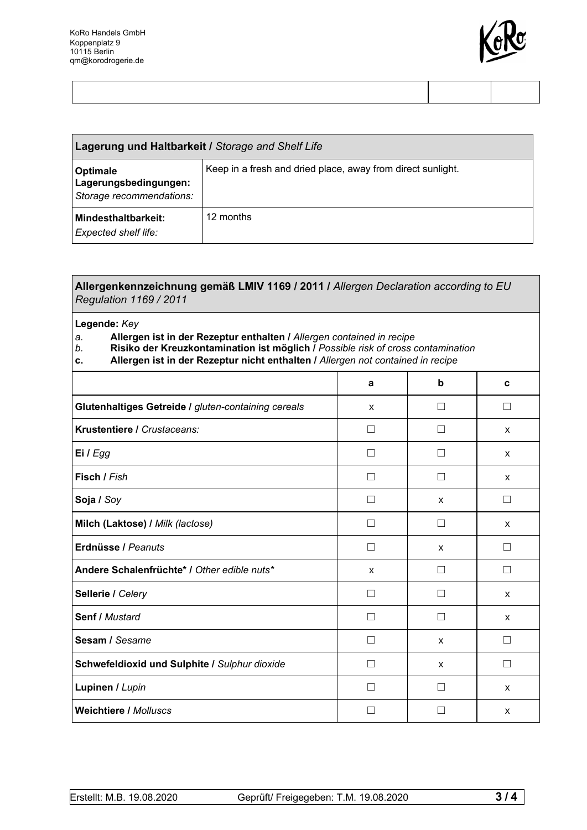

| Lagerung und Haltbarkeit / Storage and Shelf Life                    |                                                             |  |
|----------------------------------------------------------------------|-------------------------------------------------------------|--|
| <b>Optimale</b><br>Lagerungsbedingungen:<br>Storage recommendations: | Keep in a fresh and dried place, away from direct sunlight. |  |
| Mindesthaltbarkeit:<br>Expected shelf life:                          | 12 months                                                   |  |

| Allergenkennzeichnung gemäß LMIV 1169 / 2011 / Allergen Declaration according to EU<br><b>Regulation 1169 / 2011</b>                                                                                                                                                           |        |         |              |  |
|--------------------------------------------------------------------------------------------------------------------------------------------------------------------------------------------------------------------------------------------------------------------------------|--------|---------|--------------|--|
| Legende: Key<br>Allergen ist in der Rezeptur enthalten / Allergen contained in recipe<br>a.<br>b.<br>Risiko der Kreuzkontamination ist möglich / Possible risk of cross contamination<br>Allergen ist in der Rezeptur nicht enthalten / Allergen not contained in recipe<br>c. |        |         |              |  |
|                                                                                                                                                                                                                                                                                | a      | b       | $\mathbf c$  |  |
| Glutenhaltiges Getreide / gluten-containing cereals                                                                                                                                                                                                                            | X      |         | $\mathbf{I}$ |  |
| Krustentiere / Crustaceans:                                                                                                                                                                                                                                                    | П      | П       | X            |  |
| Ei / Egg                                                                                                                                                                                                                                                                       | П      | П       | X            |  |
| Fisch / Fish                                                                                                                                                                                                                                                                   | $\Box$ | П       | X            |  |
| Soja / Soy                                                                                                                                                                                                                                                                     | П      | X       | $\perp$      |  |
| Milch (Laktose) / Milk (lactose)                                                                                                                                                                                                                                               | П      | П       | X            |  |
| Erdnüsse / Peanuts                                                                                                                                                                                                                                                             | П      | x       | $\mathsf{L}$ |  |
| Andere Schalenfrüchte* / Other edible nuts*                                                                                                                                                                                                                                    | X      | $\perp$ | $\mathsf{L}$ |  |
| Sellerie / Celery                                                                                                                                                                                                                                                              | П      |         | X            |  |
| <b>Senf / Mustard</b>                                                                                                                                                                                                                                                          | П      | $\Box$  | x            |  |
| Sesam / Sesame                                                                                                                                                                                                                                                                 | П      | X       | $\Box$       |  |
| Schwefeldioxid und Sulphite / Sulphur dioxide<br>$\mathbf{I}$<br>X                                                                                                                                                                                                             |        |         |              |  |

**Lupinen** */ Lupin* x

**Weichtiere /** *Molluscs* ☐ ☐ x